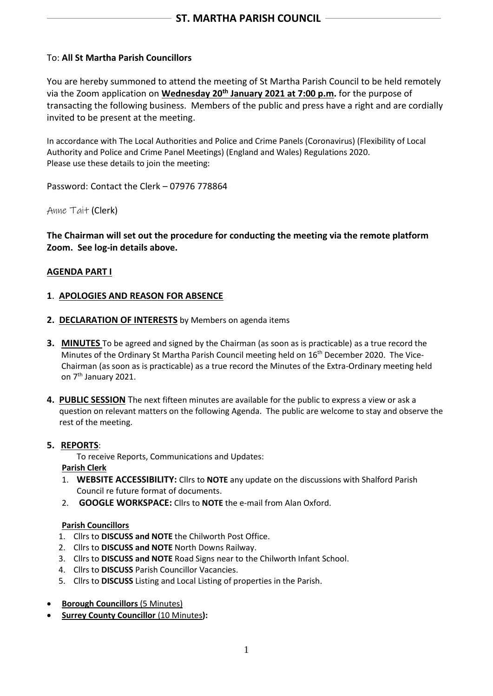## To: **All St Martha Parish Councillors**

You are hereby summoned to attend the meeting of St Martha Parish Council to be held remotely via the Zoom application on **Wednesday 20th January 2021 at 7:00 p.m.** for the purpose of transacting the following business. Members of the public and press have a right and are cordially invited to be present at the meeting.

In accordance with The Local Authorities and Police and Crime Panels (Coronavirus) (Flexibility of Local Authority and Police and Crime Panel Meetings) (England and Wales) Regulations 2020. Please use these details to join the meeting:

Password: Contact the Clerk – 07976 778864

Anne Tait (Clerk)

**The Chairman will set out the procedure for conducting the meeting via the remote platform Zoom. See log-in details above.**

#### **AGENDA PART I**

#### **1**. **APOLOGIES AND REASON FOR ABSENCE**

- 2. DECLARATION OF INTERESTS by Members on agenda items
- **3. MINUTES** To be agreed and signed by the Chairman (as soon as is practicable) as a true record the Minutes of the Ordinary St Martha Parish Council meeting held on 16<sup>th</sup> December 2020. The Vice- Chairman (as soon as is practicable) as a true record the Minutes of the Extra-Ordinary meeting held on 7th January 2021.
- **4. PUBLIC SESSION** The next fifteen minutes are available for the public to express a view or ask a question on relevant matters on the following Agenda. The public are welcome to stay and observe the rest of the meeting.

#### **5. REPORTS**:

To receive Reports, Communications and Updates:

#### **Parish Clerk**

- 1. **WEBSITE ACCESSIBILITY:** Cllrs to **NOTE** any update on the discussions with Shalford Parish Council re future format of documents.
- 2. **GOOGLE WORKSPACE:** Cllrs to **NOTE** the e-mail from Alan Oxford.

#### **Parish Councillors**

- 1. Cllrs to **DISCUSS and NOTE** the Chilworth Post Office.
- 2. Cllrs to **DISCUSS and NOTE** North Downs Railway.
- 3. Cllrs to **DISCUSS and NOTE** Road Signs near to the Chilworth Infant School.
- 4. Cllrs to **DISCUSS** Parish Councillor Vacancies.
- 5. Cllrs to **DISCUSS** Listing and Local Listing of properties in the Parish.
- **Borough Councillors** (5 Minutes)
- **Surrey County Councillor** (10 Minutes**):**